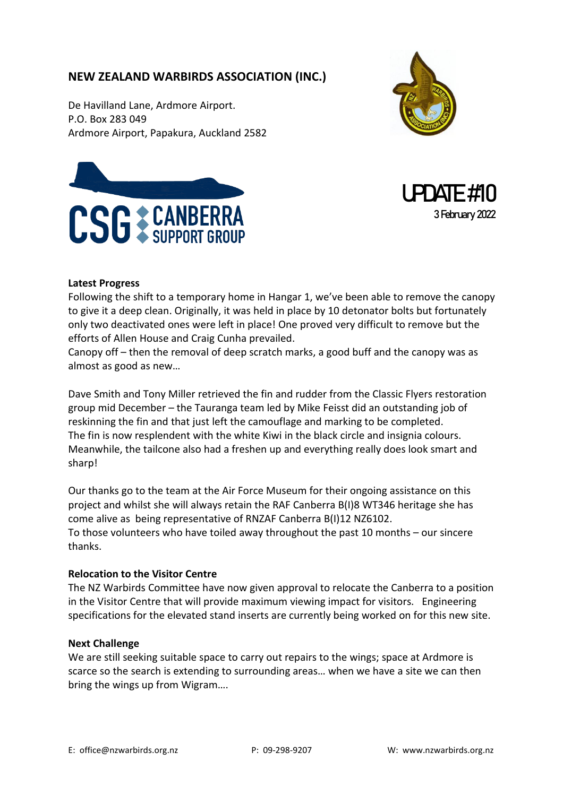# **NEW ZEALAND WARBIRDS ASSOCIATION (INC.)**

De Havilland Lane, Ardmore Airport. P.O. Box 283 049 Ardmore Airport, Papakura, Auckland 2582







### **Latest Progress**

Following the shift to a temporary home in Hangar 1, we've been able to remove the canopy to give it a deep clean. Originally, it was held in place by 10 detonator bolts but fortunately only two deactivated ones were left in place! One proved very difficult to remove but the efforts of Allen House and Craig Cunha prevailed.

Canopy off – then the removal of deep scratch marks, a good buff and the canopy was as almost as good as new…

Dave Smith and Tony Miller retrieved the fin and rudder from the Classic Flyers restoration group mid December – the Tauranga team led by Mike Feisst did an outstanding job of reskinning the fin and that just left the camouflage and marking to be completed. The fin is now resplendent with the white Kiwi in the black circle and insignia colours. Meanwhile, the tailcone also had a freshen up and everything really does look smart and sharp!

Our thanks go to the team at the Air Force Museum for their ongoing assistance on this project and whilst she will always retain the RAF Canberra B(I)8 WT346 heritage she has come alive as being representative of RNZAF Canberra B(I)12 NZ6102. To those volunteers who have toiled away throughout the past 10 months – our sincere thanks.

### **Relocation to the Visitor Centre**

The NZ Warbirds Committee have now given approval to relocate the Canberra to a position in the Visitor Centre that will provide maximum viewing impact for visitors. Engineering specifications for the elevated stand inserts are currently being worked on for this new site.

#### **Next Challenge**

We are still seeking suitable space to carry out repairs to the wings; space at Ardmore is scarce so the search is extending to surrounding areas… when we have a site we can then bring the wings up from Wigram….